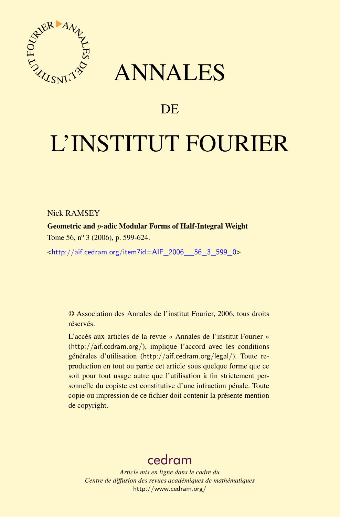

## ANNALES

### **DE**

# L'INSTITUT FOURIER

Nick RAMSEY

Geometric and p-adic Modular Forms of Half-Integral Weight Tome 56,  $n^{\circ}$  3 (2006), p. 599-624.

<[http://aif.cedram.org/item?id=AIF\\_2006\\_\\_56\\_3\\_599\\_0](http://aif.cedram.org/item?id=AIF_2006__56_3_599_0)>

© Association des Annales de l'institut Fourier, 2006, tous droits réservés.

L'accès aux articles de la revue « Annales de l'institut Fourier » (<http://aif.cedram.org/>), implique l'accord avec les conditions générales d'utilisation (<http://aif.cedram.org/legal/>). Toute reproduction en tout ou partie cet article sous quelque forme que ce soit pour tout usage autre que l'utilisation à fin strictement personnelle du copiste est constitutive d'une infraction pénale. Toute copie ou impression de ce fichier doit contenir la présente mention de copyright.

## [cedram](http://www.cedram.org/)

*Article mis en ligne dans le cadre du Centre de diffusion des revues académiques de mathématiques* <http://www.cedram.org/>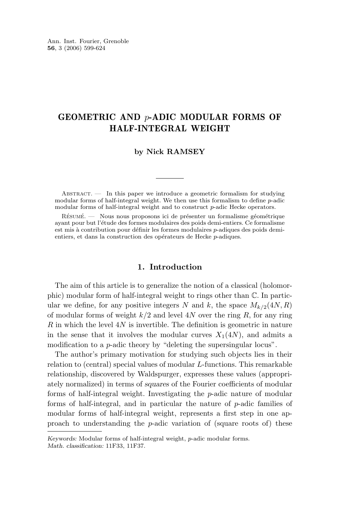#### GEOMETRIC AND p-ADIC MODULAR FORMS OF HALF-INTEGRAL WEIGHT

#### **by Nick RAMSEY**

 $ABSTRACT.$  In this paper we introduce a geometric formalism for studying modular forms of half-integral weight. We then use this formalism to define p-adic modular forms of half-integral weight and to construct p-adic Hecke operators.

Résumé. — Nous nous proposons ici de présenter un formalisme géométrique ayant pour but l'étude des formes modulaires des poids demi-entiers. Ce formalisme est mis à contribution pour définir les formes modulaires p-adiques des poids demientiers, et dans la construction des opérateurs de Hecke p-adiques.

#### **1. Introduction**

The aim of this article is to generalize the notion of a classical (holomorphic) modular form of half-integral weight to rings other than C. In particular we define, for any positive integers N and k, the space  $M_{k/2}(4N, R)$ of modular forms of weight  $k/2$  and level 4N over the ring R, for any ring  $R$  in which the level  $4N$  is invertible. The definition is geometric in nature in the sense that it involves the modular curves  $X_1(4N)$ , and admits a modification to a *p*-adic theory by "deleting the supersingular locus".

The author's primary motivation for studying such objects lies in their relation to (central) special values of modular L-functions. This remarkable relationship, discovered by Waldspurger, expresses these values (appropriately normalized) in terms of *squares* of the Fourier coefficients of modular forms of half-integral weight. Investigating the p-adic nature of modular forms of half-integral, and in particular the nature of p-adic families of modular forms of half-integral weight, represents a first step in one approach to understanding the  $p$ -adic variation of (square roots of) these

*Keywords:* Modular forms of half-integral weight, p-adic modular forms. *Math. classification:* 11F33, 11F37.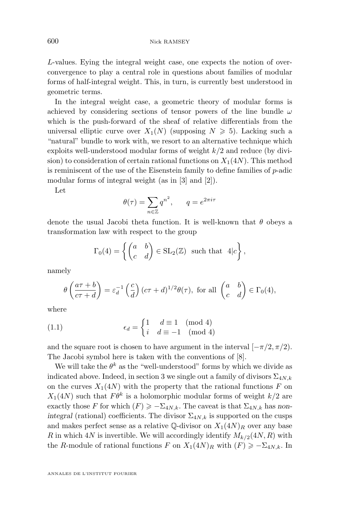<span id="page-2-0"></span>L-values. Eying the integral weight case, one expects the notion of overconvergence to play a central role in questions about families of modular forms of half-integral weight. This, in turn, is currently best understood in geometric terms.

In the integral weight case, a geometric theory of modular forms is achieved by considering sections of tensor powers of the line bundle  $\omega$ which is the push-forward of the sheaf of relative differentials from the universal elliptic curve over  $X_1(N)$  (supposing  $N \geq 5$ ). Lacking such a "natural" bundle to work with, we resort to an alternative technique which exploits well-understood modular forms of weight  $k/2$  and reduce (by division) to consideration of certain rational functions on  $X_1(4N)$ . This method is reminiscent of the use of the Eisenstein family to define families of p-adic modular forms of integral weight (as in [\[3\]](#page-25-0) and [\[2\]](#page-25-0)).

Let

$$
\theta(\tau) = \sum_{n \in \mathbb{Z}} q^{n^2}, \qquad q = e^{2\pi i \tau}
$$

denote the usual Jacobi theta function. It is well-known that  $\theta$  obeys a transformation law with respect to the group

$$
\Gamma_0(4) = \left\{ \begin{pmatrix} a & b \\ c & d \end{pmatrix} \in SL_2(\mathbb{Z}) \text{ such that } 4|c \right\},\
$$

namely

$$
\theta\left(\frac{a\tau+b}{c\tau+d}\right) = \varepsilon_d^{-1}\left(\frac{c}{d}\right)(c\tau+d)^{1/2}\theta(\tau), \text{ for all } \begin{pmatrix} a & b \\ c & d \end{pmatrix} \in \Gamma_0(4),
$$

where

(1.1) 
$$
\epsilon_d = \begin{cases} 1 & d \equiv 1 \pmod{4} \\ i & d \equiv -1 \pmod{4} \end{cases}
$$

and the square root is chosen to have argument in the interval  $[-\pi/2, \pi/2]$ . The Jacobi symbol here is taken with the conventions of [\[8\]](#page-26-0).

We will take the  $\theta^k$  as the "well-understood" forms by which we divide as indicated above. Indeed, in section [3](#page-6-0) we single out a family of divisors  $\Sigma_{4N,k}$ on the curves  $X_1(4N)$  with the property that the rational functions F on  $X_1(4N)$  such that  $F\theta^k$  is a holomorphic modular forms of weight  $k/2$  are exactly those F for which  $(F) \ge -\sum_{4N,k}$ . The caveat is that  $\Sigma_{4N,k}$  has non*integral* (rational) coefficients. The divisor  $\Sigma_{4N,k}$  is supported on the cusps and makes perfect sense as a relative  $\mathbb{Q}$ -divisor on  $X_1(4N)_R$  over any base R in which 4N is invertible. We will accordingly identify  $M_{k/2}(4N, R)$  with the R-module of rational functions F on  $X_1(4N)_R$  with  $(F) \geq -\sum_{4N,k}$ . In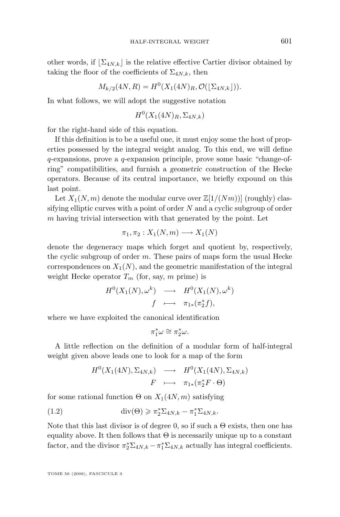<span id="page-3-0"></span>other words, if  $\sum_{4N,k}$  is the relative effective Cartier divisor obtained by taking the floor of the coefficients of  $\Sigma_{4N,k}$ , then

$$
M_{k/2}(4N, R) = H^{0}(X_{1}(4N)_{R}, \mathcal{O}(\lfloor \Sigma_{4N,k} \rfloor)).
$$

In what follows, we will adopt the suggestive notation

$$
H^0(X_1(4N)_R, \Sigma_{4N,k})
$$

for the right-hand side of this equation.

If this definition is to be a useful one, it must enjoy some the host of properties possessed by the integral weight analog. To this end, we will define q-expansions, prove a q-expansion principle, prove some basic "change-ofring" compatibilities, and furnish a *geometric* construction of the Hecke operators. Because of its central importance, we briefly expound on this last point.

Let  $X_1(N,m)$  denote the modular curve over  $\mathbb{Z}[1/(Nm))]$  (roughly) classifying elliptic curves with a point of order  $N$  and a cyclic subgroup of order  $m$  having trivial intersection with that generated by the point. Let

$$
\pi_1, \pi_2: X_1(N,m) \longrightarrow X_1(N)
$$

denote the degeneracy maps which forget and quotient by, respectively, the cyclic subgroup of order m. These pairs of maps form the usual Hecke correspondences on  $X_1(N)$ , and the geometric manifestation of the integral weight Hecke operator  $T_m$  (for, say, m prime) is

$$
H^{0}(X_{1}(N), \omega^{k}) \longrightarrow H^{0}(X_{1}(N), \omega^{k})
$$
  

$$
f \longmapsto \pi_{1*}(\pi_{2}^{*}f),
$$

where we have exploited the canonical identification

$$
\pi_1^*\omega\cong\pi_2^*\omega.
$$

A little reflection on the definition of a modular form of half-integral weight given above leads one to look for a map of the form

$$
H^{0}(X_{1}(4N), \Sigma_{4N,k}) \longrightarrow H^{0}(X_{1}(4N), \Sigma_{4N,k})
$$
  

$$
F \longrightarrow \pi_{1*}(\pi_{2}^{*}F \cdot \Theta)
$$

for some rational function  $\Theta$  on  $X_1(4N, m)$  satisfying

(1.2) 
$$
\operatorname{div}(\Theta) \geqslant \pi_2^* \Sigma_{4N,k} - \pi_1^* \Sigma_{4N,k}.
$$

Note that this last divisor is of degree 0, so if such a  $\Theta$  exists, then one has equality above. It then follows that  $\Theta$  is necessarily unique up to a constant factor, and the divisor  $\pi_2^* \Sigma_{4N,k} - \pi_1^* \Sigma_{4N,k}$  actually has integral coefficients.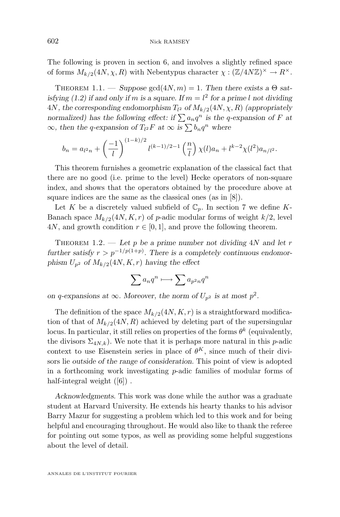The following is proven in section [6,](#page-16-0) and involves a slightly refined space of forms  $M_{k/2}(4N, \chi, R)$  with Nebentypus character  $\chi : (\mathbb{Z}/4N\mathbb{Z})^{\times} \to R^{\times}$ .

THEOREM 1.1. — *Suppose*  $gcd(4N, m) = 1$ . Then there exists a  $\Theta$  sat-isfying [\(1.2\)](#page-3-0) if and only if m is a square. If  $m = l^2$  for a prime l not dividing  $4N$ , the corresponding endomorphism  $T_{l^2}$  of  $M_{k/2}(4N, \chi, R)$  (appropriately *normalized)* has the following effect: if  $\sum a_n q^n$  is the q-expansion of F at  $\infty$ *, then the q-expansion of*  $T_{l^2}F$  *at*  $\infty$  *is*  $\sum b_n q^n$  *where* 

$$
b_n = a_{l^2 n} + \left(\frac{-1}{l}\right)^{(1-k)/2} l^{(k-1)/2 - 1} \left(\frac{n}{l}\right) \chi(l) a_n + l^{k-2} \chi(l^2) a_{n/l^2}.
$$

This theorem furnishes a geometric explanation of the classical fact that there are no good (i.e. prime to the level) Hecke operators of non-square index, and shows that the operators obtained by the procedure above at square indices are the same as the classical ones (as in [\[8\]](#page-26-0)).

Let K be a discretely valued subfield of  $\mathbb{C}_p$ . In section [7](#page-20-0) we define K-Banach space  $M_{k/2}(4N, K, r)$  of p-adic modular forms of weight  $k/2$ , level 4N, and growth condition  $r \in [0, 1]$ , and prove the following theorem.

Theorem 1.2. — *Let* p *be a prime number not dividing* 4N *and let* r  $further satisfy  $r > p^{-1/p(1+p)}$ . There is a completely continuous endomor$ phism  $U_{p^2}$  of  $M_{k/2}(4N, K, r)$  *having the effect* 

$$
\sum a_n q^n \longmapsto \sum a_{p^2n} q^n
$$

*on* q-expansions at  $\infty$ *. Moreover, the norm of*  $U_{p^2}$  *is at most*  $p^2$ *.* 

The definition of the space  $M_{k/2}(4N, K, r)$  is a straightforward modification of that of  $M_{k/2}(4N, R)$  achieved by deleting part of the supersingular locus. In particular, it still relies on properties of the forms  $\theta^k$  (equivalently, the divisors  $\Sigma_{4N,k}$ ). We note that it is perhaps more natural in this p-adic context to use Eisenstein series in place of  $\theta^K$ , since much of their divisors lie *outside of the range of consideration*. This point of view is adopted in a forthcoming work investigating  $p$ -adic families of modular forms of half-integral weight ([\[6\]](#page-26-0)).

*Acknowledgments*. This work was done while the author was a graduate student at Harvard University. He extends his hearty thanks to his advisor Barry Mazur for suggesting a problem which led to this work and for being helpful and encouraging throughout. He would also like to thank the referee for pointing out some typos, as well as providing some helpful suggestions about the level of detail.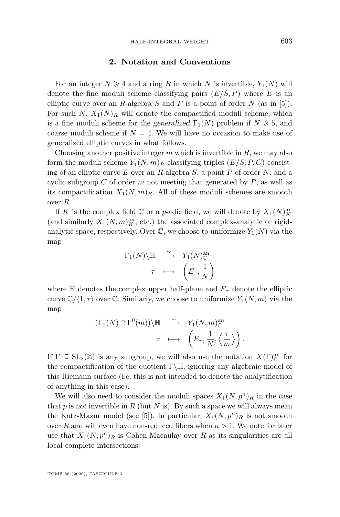#### **2. Notation and Conventions**

<span id="page-5-0"></span>For an integer  $N \geq 4$  and a ring R in which N is invertible,  $Y_1(N)$  will denote the fine moduli scheme classifying pairs  $(E/S, P)$  where E is an elliptic curve over an R-algebra  $S$  and  $P$  is a point of order  $N$  (as in [\[5\]](#page-26-0)). For such N,  $X_1(N)_R$  will denote the compactified moduli scheme, which is a fine moduli scheme for the *generalized*  $\Gamma_1(N)$  problem if  $N \geq 5$ , and coarse moduli scheme if  $N = 4$ . We will have no occasion to make use of generalized elliptic curves in what follows.

Choosing another positive integer  $m$  which is invertible in  $R$ , we may also form the moduli scheme  $Y_1(N,m)_R$  classifying triples  $(E/S, P, C)$  consisting of an elliptic curve E over an R-algebra  $S$ , a point P of order  $N$ , and a cyclic subgroup C of order m not meeting that generated by  $P$ , as well as its compactification  $X_1(N, m)_R$ . All of these moduli schemes are smooth over R.

If K is the complex field  $\mathbb C$  or a *p*-adic field, we will denote by  $X_1(N)^{\text{an}}_K$ (and similarly  $X_1(N, m)_K^{\text{an}}$ , etc.) the associated complex-analytic or rigidanalytic space, respectively. Over  $\mathbb C$ , we choose to uniformize  $Y_1(N)$  via the map

$$
\begin{array}{ccc}\n\Gamma_1(N)\backslash \mathbb{H} & \stackrel{\sim}{\longrightarrow} & Y_1(N)_{\mathbb{C}}^{\text{an}} \\
\tau & \longmapsto & \left(E_\tau, \frac{1}{N}\right)\n\end{array}
$$

where  $\mathbb H$  denotes the complex upper half-plane and  $E_{\tau}$  denote the elliptic curve  $\mathbb{C}/\langle 1, \tau \rangle$  over C. Similarly, we choose to uniformize  $Y_1(N, m)$  via the map

$$
(\Gamma_1(N) \cap \Gamma^0(m)) \backslash \mathbb{H} \longrightarrow Y_1(N,m)_{\mathbb{C}}^{\text{an}} \longrightarrow \left( E_{\tau}, \frac{1}{N}, \left\langle \frac{\tau}{m} \right\rangle \right).
$$

If  $\Gamma \subseteq SL_2(\mathbb{Z})$  is any subgroup, we will also use the notation  $X(\Gamma)_{\mathbb{C}}^{an}$  for the compactification of the quotient  $\Gamma\backslash\mathbb{H}$ , ignoring any algebraic model of this Riemann surface (i.e. this is not intended to denote the analytification of anything in this case).

We will also need to consider the moduli spaces  $X_1(N, p^n)_R$  in the case that  $p$  is *not* invertible in  $R$  (but  $N$  is). By such a space we will always mean the Katz-Mazur model (see [\[5\]](#page-26-0)). In particular,  $X_1(N, p^n)_R$  is not smooth over R and will even have non-reduced fibers when  $n > 1$ . We note for later use that  $X_1(N, p^n)_R$  is Cohen-Macaulay over R as its singularities are all local complete intersections.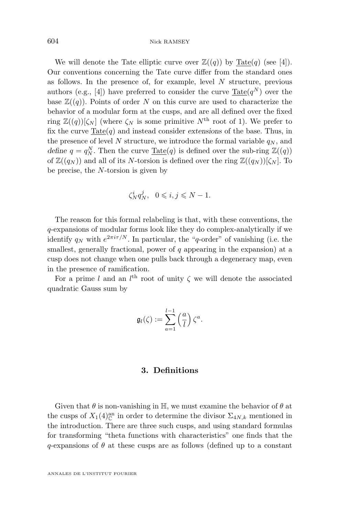<span id="page-6-0"></span>We will denote the Tate elliptic curve over  $\mathbb{Z}((q))$  by Tate $(q)$  (see [\[4\]](#page-26-0)). Our conventions concerning the Tate curve differ from the standard ones as follows. In the presence of, for example, level  $N$  structure, previous authors (e.g., [\[4\]](#page-26-0)) have preferred to consider the curve  $\text{Tate}(q^N)$  over the base  $\mathbb{Z}((q))$ . Points of order N on this curve are used to characterize the behavior of a modular form at the cusps, and are all defined over the fixed ring  $\mathbb{Z}((q))[\zeta_N]$  (where  $\zeta_N$  is some primitive  $N^{\text{th}}$  root of 1). We prefer to fix the curve  $\text{Tate}(q)$  and instead consider *extensions* of the base. Thus, in the presence of level N structure, we introduce the formal variable  $q_N$ , and *define*  $q = q_N^N$ . Then the curve  $\underline{\text{ Tate}}(q)$  is defined over the sub-ring  $\mathbb{Z}((q))$ of  $\mathbb{Z}((q_N))$  and all of its N-torsion is defined over the ring  $\mathbb{Z}((q_N))[\zeta_N]$ . To be precise, the N-torsion is given by

$$
\zeta_N^i q_N^j, \quad 0 \leqslant i, j \leqslant N-1.
$$

The reason for this formal relabeling is that, with these conventions, the q-expansions of modular forms look like they do complex-analytically if we identify  $q_N$  with  $e^{2\pi i \tau/N}$ . In particular, the "q-order" of vanishing (i.e. the smallest, generally fractional, power of  $q$  appearing in the expansion) at a cusp does not change when one pulls back through a degeneracy map, even in the presence of ramification.

For a prime l and an  $l^{\text{th}}$  root of unity  $\zeta$  we will denote the associated quadratic Gauss sum by

$$
\mathfrak{g}_l(\zeta) := \sum_{a=1}^{l-1} \left(\frac{a}{l}\right) \zeta^a.
$$

#### **3. Definitions**

Given that  $\theta$  is non-vanishing in H, we must examine the behavior of  $\theta$  at the cusps of  $X_1(4)_{\mathbb{C}}^{an}$  in order to determine the divisor  $\Sigma_{4N,k}$  mentioned in the introduction. There are three such cusps, and using standard formulas for transforming "theta functions with characteristics" one finds that the  $q$ -expansions of  $\theta$  at these cusps are as follows (defined up to a constant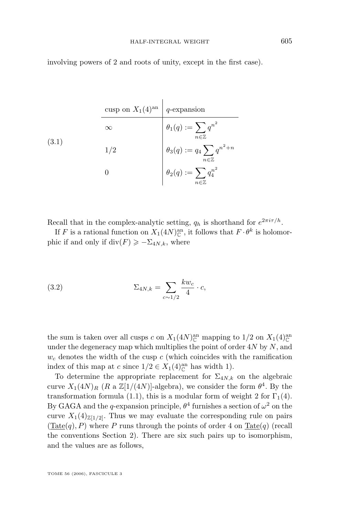<span id="page-7-0"></span>involving powers of 2 and roots of unity, except in the first case).

(3.1)  
\n
$$
\begin{array}{c|c}\n\text{cusp on } X_1(4)^{\text{an}} & q\text{-expansion} \\
\infty & \theta_1(q) := \sum_{n \in \mathbb{Z}} q^{n^2} \\
\theta_3(q) := q_4 \sum_{n \in \mathbb{Z}} q^{n^2 + n} \\
0 & \theta_2(q) := \sum_{n \in \mathbb{Z}} q^{n^2} \\
\end{array}
$$

Recall that in the complex-analytic setting,  $q_h$  is shorthand for  $e^{2\pi i \tau/h}$ .

If F is a rational function on  $X_1(4N)_{\mathbb{C}}^{\text{an}}$ , it follows that  $F \cdot \theta^k$  is holomorphic if and only if  $div(F) \ge -\sum_{4N,k}$ , where

(3.2) 
$$
\Sigma_{4N,k} = \sum_{c \sim 1/2} \frac{k w_c}{4} \cdot c,
$$

the sum is taken over all cusps c on  $X_1(4N)_{\mathbb{C}}^{\text{an}}$  mapping to  $1/2$  on  $X_1(4)_{\mathbb{C}}^{\text{an}}$ under the degeneracy map which multiplies the point of order  $4N$  by  $N$ , and  $w_c$  denotes the width of the cusp c (which coincides with the ramification index of this map at c since  $1/2 \in X_1(4)_{\mathbb{C}}^{an}$  has width 1).

To determine the appropriate replacement for  $\Sigma_{4N,k}$  on the algebraic curve  $X_1(4N)_R$  (R a  $\mathbb{Z}[1/(4N)]$ -algebra), we consider the form  $\theta^4$ . By the transformation formula [\(1.1\)](#page-2-0), this is a modular form of weight 2 for  $\Gamma_1(4)$ . By GAGA and the q-expansion principle,  $\theta^4$  furnishes a section of  $\omega^2$  on the curve  $X_1(4)_{\mathbb{Z}[1/2]}$ . Thus we may evaluate the corresponding rule on pairs  $(Tate(q), P)$  where P runs through the points of order 4 on  $Tate(q)$  (recall the conventions Section [2\)](#page-5-0). There are six such pairs up to isomorphism, and the values are as follows,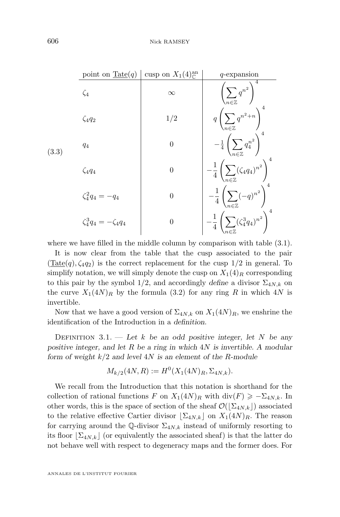<span id="page-8-0"></span>

|       | point on $\underline{\text{Tate}}(q)$ | cusp on $X_1(4)_{\mathbb{C}}^{\text{an}}$ | $q$ -expansion                                                             |
|-------|---------------------------------------|-------------------------------------------|----------------------------------------------------------------------------|
| (3.3) | $\zeta_4$                             | $\infty$                                  | $\left(\sum_{n\in\mathbb{Z}}q^{n^2}\right)$                                |
|       | $\zeta_4q_2$                          | 1/2                                       | $q\left(\sum_{n\in\mathbb{Z}}q^{n^2+n}\right)$                             |
|       | $q_4$                                 | $\boldsymbol{0}$                          | $-\tfrac{1}{4}\left(\sum_{n\in\mathbb{Z}}q_4^{n^2}\right)^4$               |
|       | $\zeta_4q_4$                          | $\boldsymbol{0}$                          | $- \frac{1}{4} \left( \sum_{n \in \mathbb{Z}} (\zeta_4 q_4)^{n^2} \right)$ |
|       | $\zeta_4^2 q_4 = -q_4$                | $\boldsymbol{0}$                          | $-\frac{1}{4}\left(\sum_{n\in\mathbb{Z}}(-q)^{n^2}\right)^4$               |
|       | $\zeta_4^3 q_4 = -\zeta_4 q_4$        | $\boldsymbol{0}$                          | $-\frac{1}{4}\left(\sum(\zeta_4^3q_4)^{n^2}\right)^4$                      |

where we have filled in the middle column by comparison with table [\(3.1\)](#page-7-0).

It is now clear from the table that the cusp associated to the pair  $(Tate(q), \zeta_4q_2)$  is the correct replacement for the cusp  $1/2$  in general. To simplify notation, we will simply denote the cusp on  $X_1(4)_R$  corresponding to this pair by the symbol 1/2, and accordingly *define* a divisor  $\Sigma_{4N,k}$  on the curve  $X_1(4N)_R$  by the formula [\(3.2\)](#page-7-0) for any ring R in which 4N is invertible.

Now that we have a good version of  $\Sigma_{4N,k}$  on  $X_1(4N)_R$ , we enshrine the identification of the Introduction in a *definition*.

DEFINITION  $3.1.$  — Let k be an odd positive integer, let N be any *positive integer, and let* R *be a ring in which* 4N *is invertible. A modular form of weight* k/2 *and level* 4N *is an element of the* R*-module*

$$
M_{k/2}(4N,R) := H^0(X_1(4N)_R, \Sigma_{4N,k}).
$$

We recall from the Introduction that this notation is shorthand for the collection of rational functions F on  $X_1(4N)_R$  with  $\text{div}(F) \geq -\sum_{4N,k}$ . In other words, this is the space of section of the sheaf  $\mathcal{O}(|\Sigma_{4N,k}|)$  associated to the relative effective Cartier divisor  $[\Sigma_{4N,k}]$  on  $X_1(4N)_R$ . The reason for carrying around the Q-divisor  $\Sigma_{4N,k}$  instead of uniformly resorting to its floor  $\Sigma_{4N,k}$  (or equivalently the associated sheaf) is that the latter do not behave well with respect to degeneracy maps and the former does. For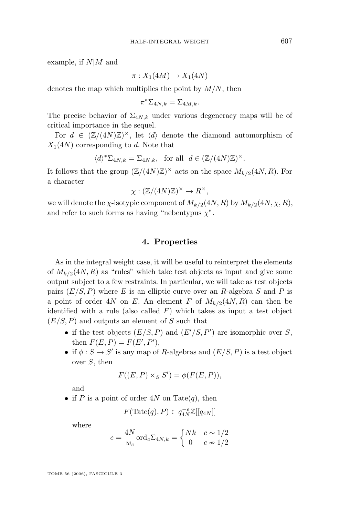example, if  $N|M$  and

$$
\pi: X_1(4M) \to X_1(4N)
$$

denotes the map which multiplies the point by  $M/N$ , then

$$
\pi^* \Sigma_{4N,k} = \Sigma_{4M,k}.
$$

The precise behavior of  $\Sigma_{4N,k}$  under various degeneracy maps will be of critical importance in the sequel.

For  $d \in (\mathbb{Z}/(4N)\mathbb{Z})^{\times}$ , let  $\langle d \rangle$  denote the diamond automorphism of  $X_1(4N)$  corresponding to d. Note that

$$
\langle d \rangle^* \Sigma_{4N,k} = \Sigma_{4N,k}
$$
, for all  $d \in (\mathbb{Z}/(4N)\mathbb{Z})^{\times}$ .

It follows that the group  $(\mathbb{Z}/(4N)\mathbb{Z})^{\times}$  acts on the space  $M_{k/2}(4N,R)$ . For a character

$$
\chi: (\mathbb{Z}/(4N)\mathbb{Z})^{\times} \to R^{\times},
$$

we will denote the *χ*-isotypic component of  $M_{k/2}(4N, R)$  by  $M_{k/2}(4N, \chi, R)$ , and refer to such forms as having "nebentypus  $\chi$ ".

#### **4. Properties**

As in the integral weight case, it will be useful to reinterpret the elements of  $M_{k/2}(4N, R)$  as "rules" which take test objects as input and give some output subject to a few restraints. In particular, we will take as test objects pairs  $(E/S, P)$  where E is an elliptic curve over an R-algebra S and P is a point of order 4N on E. An element F of  $M_{k/2}(4N, R)$  can then be identified with a rule (also called  $F$ ) which takes as input a test object  $(E/S, P)$  and outputs an element of S such that

- if the test objects  $(E/S, P)$  and  $(E'/S, P')$  are isomorphic over S, then  $F(E, P) = F(E', P'),$
- if  $\phi: S \to S'$  is any map of R-algebras and  $(E/S, P)$  is a test object over S, then

$$
F((E, P) \times_S S') = \phi(F(E, P)),
$$

and

• if P is a point of order  $4N$  on Tate $(q)$ , then

$$
F(\underline{\mathrm{Tate}}(q), P) \in q_{4N}^{-e} \mathbb{Z}[[q_{4N}]]
$$

where

$$
e = \frac{4N}{w_c} \text{ord}_c \Sigma_{4N,k} = \begin{cases} Nk & c \sim 1/2 \\ 0 & c \sim 1/2 \end{cases}
$$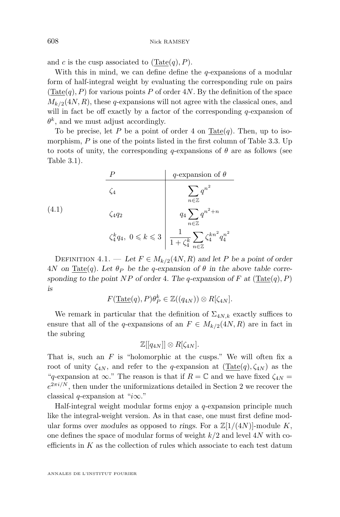<span id="page-10-0"></span>and c is the cusp associated to  $(\text{Tate}(q), P)$ .

With this in mind, we can define define the  $q$ -expansions of a modular form of half-integral weight by evaluating the corresponding rule on pairs  $(Tate(q), P)$  for various points P of order 4N. By the definition of the space  $M_{k/2}(4N, R)$ , these q-expansions will not agree with the classical ones, and will in fact be off exactly by a factor of the corresponding  $q$ -expansion of  $\theta^k$ , and we must adjust accordingly.

To be precise, let P be a point of order 4 on Tate $(q)$ . Then, up to isomorphism,  $P$  is one of the points listed in the first column of Table [3.3.](#page-8-0) Up to roots of unity, the corresponding  $q$ -expansions of  $\theta$  are as follows (see Table [3.1\)](#page-7-0).

|       |              | q-expansion of $\theta$                                                                                                            |
|-------|--------------|------------------------------------------------------------------------------------------------------------------------------------|
|       | $\zeta_4$    | $\overline{n \in \mathbb{Z}}$                                                                                                      |
| (4.1) | $\zeta_4q_2$ | $q_4\sum q^{n^2+n}$<br>$\overline{n \in \mathbb{Z}}$                                                                               |
|       |              | $\zeta_4^k q_4, \ 0 \leqslant k \leqslant 3 \ \bigg\vert \ \frac{1}{1+\zeta_4^k} \sum_{n \in \mathbb{Z}} \zeta_4^{kn^2} q_4^{n^2}$ |

DEFINITION 4.1. — Let  $F \in M_{k/2}(4N, R)$  and let P be a point of order  $4N$  *on* Tate(q). Let  $\theta_P$  be the q-expansion of  $\theta$  in the above table corresponding to the point NP of order 4. The q-expansion of F at  $($ <u>Tate</u> $(q)$ , P $)$ *is*

$$
F(\underline{\mathrm{Tate}}(q), P)\theta_P^k \in \mathbb{Z}((q_{4N})) \otimes R[\zeta_{4N}].
$$

We remark in particular that the definition of  $\Sigma_{4N,k}$  exactly suffices to ensure that all of the q-expansions of an  $F \in M_{k/2}(4N, R)$  are in fact in the subring

$$
\mathbb{Z}[[q_{4N}]] \otimes R[\zeta_{4N}].
$$

That is, such an  $F$  is "holomorphic at the cusps." We will often fix a root of unity  $\zeta_{4N}$ , and refer to the q-expansion at  $(Tate(q), \zeta_{4N})$  as the "q-expansion at  $\infty$ ." The reason is that if  $R = \mathbb{C}$  and we have fixed  $\zeta_{4N} =$  $e^{2\pi i/N}$  $e^{2\pi i/N}$  $e^{2\pi i/N}$ , then under the uniformizations detailed in Section 2 we recover the classical q-expansion at "i $\infty$ ."

Half-integral weight modular forms enjoy a q-expansion principle much like the integral-weight version. As in that case, one must first define modular forms over *modules* as opposed to *rings*. For a  $\mathbb{Z}[1/(4N)]$ -module K, one defines the space of modular forms of weight  $k/2$  and level  $4N$  with coefficients in  $K$  as the collection of rules which associate to each test datum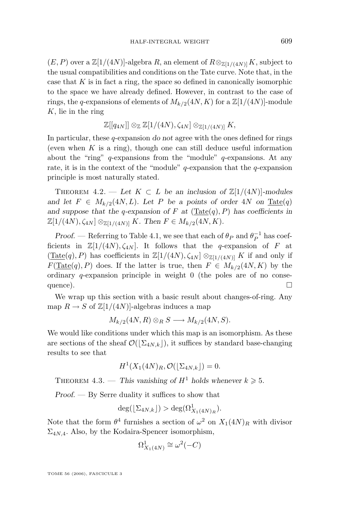$(E, P)$  over a  $\mathbb{Z}[1/(4N)]$ -algebra R, an element of  $R \otimes_{\mathbb{Z}[1/(4N)]} K$ , subject to the usual compatibilities and conditions on the Tate curve. Note that, in the case that  $K$  is in fact a ring, the space so defined in canonically isomorphic to the space we have already defined. However, in contrast to the case of rings, the q-expansions of elements of  $M_{k/2}(4N, K)$  for a  $\mathbb{Z}[1/(4N)]$ -module  $K$ , lie in the ring

$$
\mathbb{Z}[[q_{4N}]] \otimes_{\mathbb{Z}} \mathbb{Z}[1/(4N), \zeta_{4N}] \otimes_{\mathbb{Z}[1/(4N)]} K,
$$

In particular, these q-expansion *do not* agree with the ones defined for rings (even when  $K$  is a ring), though one can still deduce useful information about the "ring"  $q$ -expansions from the "module"  $q$ -expansions. At any rate, it is in the context of the "module"  $q$ -expansion that the  $q$ -expansion principle is most naturally stated.

THEOREM 4.2. — Let  $K \subset L$  be an inclusion of  $\mathbb{Z}[1/(4N)]$ -modules *and let*  $F \in M_{k/2}(4N, L)$ *. Let* P *be a points of order*  $4N$  *on*  $\text{ Tate}(q)$ and suppose that the q-expansion of  $F$  at  $(\text{Tate}(q), P)$  has coefficients in  $\mathbb{Z}[1/(4N), \zeta_{4N}] \otimes_{\mathbb{Z}[1/(4N)]} K$ . Then  $F \in M_{k/2}(4N, K)$ .

*Proof.* — Referring to Table [4.1,](#page-10-0) we see that each of  $\theta_P$  and  $\theta_P^{-1}$  has coefficients in  $\mathbb{Z}[1/(4N), \zeta_{4N}]$ . It follows that the q-expansion of F at  $(\text{Tate}(q), P)$  has coefficients in  $\mathbb{Z}[1/(4N), \zeta_{4N}] \otimes_{\mathbb{Z}[1/(4N)]} K$  if and only if  $F(\text{Tate}(q), P)$  does. If the latter is true, then  $F \in M_{k/2}(4N, K)$  by the ordinary  $q$ -expansion principle in weight 0 (the poles are of no consequence).  $\Box$ 

We wrap up this section with a basic result about changes-of-ring. Any map  $R \to S$  of  $\mathbb{Z}[1/(4N)]$ -algebras induces a map

$$
M_{k/2}(4N,R)\otimes_R S \longrightarrow M_{k/2}(4N,S).
$$

We would like conditions under which this map is an isomorphism. As these are sections of the sheaf  $\mathcal{O}(|\Sigma_{4N,k}|)$ , it suffices by standard base-changing results to see that

$$
H^1(X_1(4N)_R, \mathcal{O}(\lfloor \Sigma_{4N,k} \rfloor) = 0.
$$

THEOREM 4.3. — This vanishing of  $H^1$  holds whenever  $k \geq 5$ .

*Proof. —* By Serre duality it suffices to show that

$$
\deg(\lfloor \Sigma_{4N,k} \rfloor) > \deg(\Omega^1_{X_1(4N)_R}).
$$

Note that the form  $\theta^4$  furnishes a section of  $\omega^2$  on  $X_1(4N)_R$  with divisor  $\Sigma_{4N,4}$ . Also, by the Kodaira-Spencer isomorphism,

$$
\Omega^1_{X_1(4N)} \cong \omega^2(-C)
$$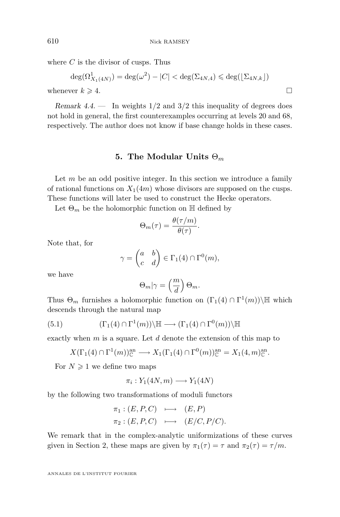<span id="page-12-0"></span>where  $C$  is the divisor of cusps. Thus

$$
\deg(\Omega^1_{X_1(4N)}) = \deg(\omega^2) - |C| < \deg(\Sigma_{4N,4}) \leq \deg(\lfloor \Sigma_{4N,k} \rfloor)
$$
\nwhenever  $k \geq 4$ .

*Remark 4.4.* — In weights  $1/2$  and  $3/2$  this inequality of degrees does not hold in general, the first counterexamples occurring at levels 20 and 68, respectively. The author does not know if base change holds in these cases.

#### **5. The Modular Units**  $\Theta_m$

Let  $m$  be an odd positive integer. In this section we introduce a family of rational functions on  $X_1(4m)$  whose divisors are supposed on the cusps. These functions will later be used to construct the Hecke operators.

Let  $\Theta_m$  be the holomorphic function on  $\mathbb H$  defined by

$$
\Theta_m(\tau) = \frac{\theta(\tau/m)}{\theta(\tau)}.
$$

Note that, for

$$
\gamma = \begin{pmatrix} a & b \\ c & d \end{pmatrix} \in \Gamma_1(4) \cap \Gamma^0(m),
$$

we have

$$
\Theta_m|\gamma=\left(\frac{m}{d}\right)\Theta_m.
$$

Thus  $\Theta_m$  furnishes a holomorphic function on  $(\Gamma_1(4) \cap \Gamma^1(m))\backslash \mathbb{H}$  which descends through the natural map

(5.1) 
$$
(\Gamma_1(4) \cap \Gamma^1(m)) \backslash \mathbb{H} \longrightarrow (\Gamma_1(4) \cap \Gamma^0(m)) \backslash \mathbb{H}
$$

exactly when  $m$  is a square. Let  $d$  denote the extension of this map to

$$
X(\Gamma_1(4) \cap \Gamma^1(m))_{\mathbb{C}}^{\mathop{\rm an}\nolimits} \longrightarrow X_1(\Gamma_1(4) \cap \Gamma^0(m))_{\mathbb{C}}^{\mathop{\rm an}\nolimits} = X_1(4,m)_{\mathbb{C}}^{\mathop{\rm an}\nolimits}.
$$

For  $N \geq 1$  we define two maps

$$
\pi_i: Y_1(4N, m) \longrightarrow Y_1(4N)
$$

by the following two transformations of moduli functors

$$
\pi_1 : (E, P, C) \longmapsto (E, P)
$$
  
\n
$$
\pi_2 : (E, P, C) \longmapsto (E/C, P/C).
$$

We remark that in the complex-analytic uniformizations of these curves given in Section [2,](#page-5-0) these maps are given by  $\pi_1(\tau) = \tau$  and  $\pi_2(\tau) = \tau/m$ .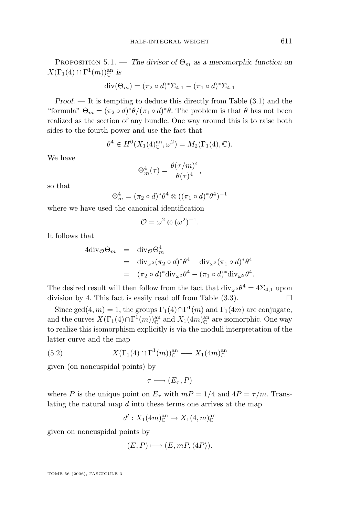<span id="page-13-0"></span>PROPOSITION 5.1. — *The divisor of*  $\Theta_m$  *as a meromorphic function on*  $X(\Gamma_1(4) \cap \Gamma^1(m))_{\mathbb{C}}^{\text{an}}$  is

$$
\mathrm{div}(\Theta_m) = (\pi_2 \circ d)^* \Sigma_{4,1} - (\pi_1 \circ d)^* \Sigma_{4,1}
$$

*Proof. —* It is tempting to deduce this directly from Table [\(3.1\)](#page-7-0) and the "formula"  $\Theta_m = (\pi_2 \circ d)^* \theta / (\pi_1 \circ d)^* \theta$ . The problem is that  $\theta$  has not been realized as the section of any bundle. One way around this is to raise both sides to the fourth power and use the fact that

$$
\theta^4 \in H^0(X_1(4)_{\mathbb{C}}^{\text{an}}, \omega^2) = M_2(\Gamma_1(4), \mathbb{C}).
$$

We have

$$
\Theta_m^4(\tau) = \frac{\theta(\tau/m)^4}{\theta(\tau)^4},
$$

so that

$$
\Theta_m^4 = (\pi_2 \circ d)^* \theta^4 \otimes ((\pi_1 \circ d)^* \theta^4)^{-1}
$$

where we have used the canonical identification

$$
\mathcal{O} = \omega^2 \otimes (\omega^2)^{-1}.
$$

It follows that

$$
4\text{div}_{\mathcal{O}}\Theta_m = \text{div}_{\mathcal{O}}\Theta_m^4
$$
  
= 
$$
\text{div}_{\omega^2}(\pi_2 \circ d)^*\theta^4 - \text{div}_{\omega^2}(\pi_1 \circ d)^*\theta^4
$$
  
= 
$$
(\pi_2 \circ d)^*\text{div}_{\omega^2}\theta^4 - (\pi_1 \circ d)^*\text{div}_{\omega^2}\theta^4.
$$

The desired result will then follow from the fact that  $\text{div}_{\omega^2} \theta^4 = 4\Sigma_{4,1}$  upon division by 4. This fact is easily read off from Table  $(3.3)$ .

Since gcd(4, m) = 1, the groups  $\Gamma_1(4) \cap \Gamma^1(m)$  and  $\Gamma_1(4m)$  are conjugate, and the curves  $X(\Gamma_1(4) \cap \Gamma^1(m))_{\mathbb{C}}^{\text{an}}$  and  $X_1(4m)_{\mathbb{C}}^{\text{an}}$  are isomorphic. One way to realize this isomorphism explicitly is via the moduli interpretation of the latter curve and the map

(5.2) 
$$
X(\Gamma_1(4) \cap \Gamma^1(m))_{\mathbb{C}}^{\mathbf{an}} \longrightarrow X_1(4m)_{\mathbb{C}}^{\mathbf{an}}
$$

given (on noncuspidal points) by

$$
\tau \longmapsto (E_{\tau}, P)
$$

where P is the unique point on  $E_{\tau}$  with  $mP = 1/4$  and  $4P = \tau/m$ . Translating the natural map d into these terms one arrives at the map

$$
d': X_1(4m)_{\mathbb{C}}^{\text{an}} \to X_1(4,m)_{\mathbb{C}}^{\text{an}}
$$

given on noncuspidal points by

$$
(E, P) \longmapsto (E, mP, \langle 4P \rangle).
$$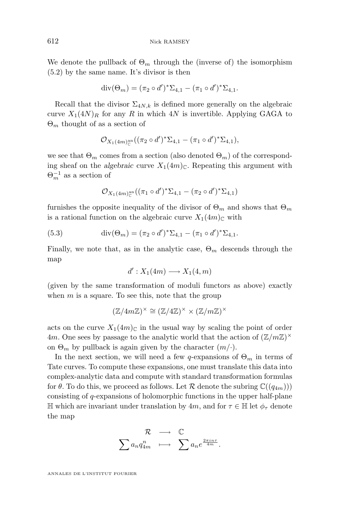<span id="page-14-0"></span>We denote the pullback of  $\Theta_m$  through the (inverse of) the isomorphism [\(5.2\)](#page-13-0) by the same name. It's divisor is then

$$
\mathrm{div}(\Theta_m) = (\pi_2 \circ d')^* \Sigma_{4,1} - (\pi_1 \circ d')^* \Sigma_{4,1}.
$$

Recall that the divisor  $\Sigma_{4N,k}$  is defined more generally on the algebraic curve  $X_1(4N)_R$  for any R in which  $4N$  is invertible. Applying GAGA to  $\Theta_m$  thought of as a section of

$$
\mathcal{O}_{X_1(4m)_{\mathbb{C}}^{\mathrm{an}}}((\pi_2 \circ d')^* \Sigma_{4,1} - (\pi_1 \circ d')^* \Sigma_{4,1}),
$$

we see that  $\Theta_m$  comes from a section (also denoted  $\Theta_m$ ) of the corresponding sheaf on the *algebraic* curve  $X_1(4m)$ <sub>C</sub>. Repeating this argument with  $\Theta_m^{-1}$  as a section of

$$
\mathcal{O}_{X_1(4m)_{\mathbb{C}}^{\mathrm{an}}}((\pi_1 \circ d')^* \Sigma_{4,1} - (\pi_2 \circ d')^* \Sigma_{4,1})
$$

furnishes the opposite inequality of the divisor of  $\Theta_m$  and shows that  $\Theta_m$ is a rational function on the algebraic curve  $X_1(4m)$ <sub>C</sub> with

(5.3) 
$$
\operatorname{div}(\Theta_m) = (\pi_2 \circ d')^* \Sigma_{4,1} - (\pi_1 \circ d')^* \Sigma_{4,1}.
$$

Finally, we note that, as in the analytic case,  $\Theta_m$  descends through the map

$$
d': X_1(4m) \longrightarrow X_1(4,m)
$$

(given by the same transformation of moduli functors as above) exactly when  $m$  is a square. To see this, note that the group

$$
(\mathbb{Z}/4m\mathbb{Z})^{\times} \cong (\mathbb{Z}/4\mathbb{Z})^{\times} \times (\mathbb{Z}/m\mathbb{Z})^{\times}
$$

acts on the curve  $X_1(4m)_{\mathbb{C}}$  in the usual way by scaling the point of order 4m. One sees by passage to the analytic world that the action of  $(\mathbb{Z}/m\mathbb{Z})^{\times}$ on  $\Theta_m$  by pullback is again given by the character  $(m/\cdot)$ .

In the next section, we will need a few q-expansions of  $\Theta_m$  in terms of Tate curves. To compute these expansions, one must translate this data into complex-analytic data and compute with standard transformation formulas for  $\theta$ . To do this, we proceed as follows. Let  $\mathcal R$  denote the subring  $\mathbb C((q_{4m}))$ consisting of q-expansions of holomorphic functions in the upper half-plane H which are invariant under translation by 4m, and for  $\tau \in \mathbb{H}$  let  $\phi_{\tau}$  denote the map

$$
\begin{array}{ccc}\mathcal{R} & \longrightarrow & \mathbb{C} \\ \sum a_n q_{4m}^n & \longmapsto & \sum a_n e^{\frac{2\pi i n \tau}{4m}}.\end{array}
$$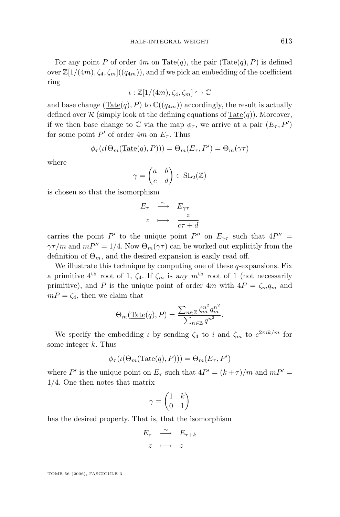For any point P of order  $4m$  on  $\text{Tate}(q)$ , the pair  $(\text{Tate}(q), P)$  is defined over  $\mathbb{Z}[1/(4m), \zeta_4, \zeta_m]$  ( $(q_{4m})$ ), and if we pick an embedding of the coefficient ring

 $\iota : \mathbb{Z}[1/(4m), \zeta_4, \zeta_m] \hookrightarrow \mathbb{C}$ 

and base change (Tate $(q)$ , P) to  $\mathbb{C}((q_{4m}))$  accordingly, the result is actually defined over  $\mathcal R$  (simply look at the defining equations of  $\text{Tate}(q)$ ). Moreover, if we then base change to  $\mathbb C$  via the map  $\phi_{\tau}$ , we arrive at a pair  $(E_{\tau}, P')$ for some point  $P'$  of order  $4m$  on  $E_{\tau}$ . Thus

$$
\phi_{\tau}(\iota(\Theta_m(\underline{\mathrm{Tate}}(q), P))) = \Theta_m(E_{\tau}, P') = \Theta_m(\gamma \tau)
$$

where

$$
\gamma = \begin{pmatrix} a & b \\ c & d \end{pmatrix} \in SL_2(\mathbb{Z})
$$

is chosen so that the isomorphism

$$
E_{\tau} \xrightarrow{\sim} E_{\gamma\tau}
$$

$$
z \longmapsto \frac{z}{c\tau + d}
$$

carries the point P' to the unique point P'' on  $E_{\gamma\tau}$  such that  $4P'' =$  $\gamma\tau/m$  and  $mP'' = 1/4$ . Now  $\Theta_m(\gamma\tau)$  can be worked out explicitly from the definition of  $\Theta_m$ , and the desired expansion is easily read off.

We illustrate this technique by computing one of these  $q$ -expansions. Fix a primitive  $4^{\text{th}}$  root of 1,  $\zeta_4$ . If  $\zeta_m$  is any  $m^{\text{th}}$  root of 1 (not necessarily primitive), and P is the unique point of order  $4m$  with  $4P = \zeta_m q_m$  and  $mP = \zeta_4$ , then we claim that

$$
\Theta_m(\underline{\text{Tate}}(q), P) = \frac{\sum_{n \in \mathbb{Z}} \zeta_m^{n^2} q_m^{n^2}}{\sum_{n \in \mathbb{Z}} q^{n^2}}.
$$

We specify the embedding  $\iota$  by sending  $\zeta_4$  to i and  $\zeta_m$  to  $e^{2\pi i k/m}$  for some integer  $k$ . Thus

$$
\phi_{\tau}(\iota(\Theta_m(\underline{\mathrm{Tate}}(q),P))) = \Theta_m(E_{\tau},P')
$$

where P' is the unique point on  $E_{\tau}$  such that  $4P' = (k+\tau)/m$  and  $mP' =$ 1/4. One then notes that matrix

$$
\gamma = \begin{pmatrix} 1 & k \\ 0 & 1 \end{pmatrix}
$$

has the desired property. That is, that the isomorphism

$$
\begin{array}{ccc}\nE_{\tau} & \stackrel{\sim}{\longrightarrow} & E_{\tau+k} \\
z & \longmapsto & z\n\end{array}
$$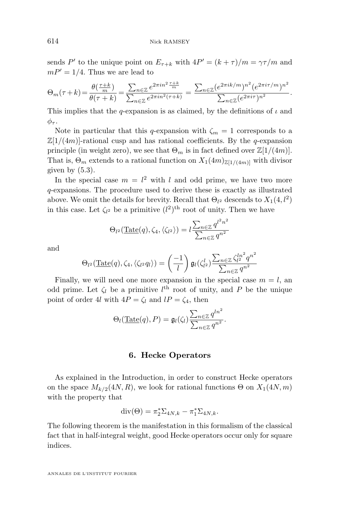sends P' to the unique point on  $E_{\tau+k}$  with  $4P' = (k+\tau)/m = \gamma\tau/m$  and  $mP' = 1/4$ . Thus we are lead to

$$
\Theta_m(\tau+k) = \frac{\theta(\frac{\tau+k}{m})}{\theta(\tau+k)} = \frac{\sum_{n \in \mathbb{Z}} e^{2\pi i n^2 \frac{\tau+k}{m}}}{\sum_{n \in \mathbb{Z}} e^{2\pi i n^2 (\tau+k)}} = \frac{\sum_{n \in \mathbb{Z}} (e^{2\pi i k/m})^{n^2} (e^{2\pi i \tau/m})^{n^2}}{\sum_{n \in \mathbb{Z}} (e^{2\pi i \tau})^{n^2}}.
$$

This implies that the q-expansion is as claimed, by the definitions of  $\iota$  and  $\phi_{\tau}$ .

Note in particular that this q-expansion with  $\zeta_m = 1$  corresponds to a  $\mathbb{Z}[1/(4m)]$ -rational cusp and has rational coefficients. By the q-expansion principle (in weight zero), we see that  $\Theta_m$  is in fact defined over  $\mathbb{Z}[1/(4m)]$ . That is,  $\Theta_m$  extends to a rational function on  $X_1(4m)_{\mathbb{Z}[1/(4m)]}$  with divisor given by  $(5.3)$ .

In the special case  $m = l^2$  with l and odd prime, we have two more q-expansions. The procedure used to derive these is exactly as illustrated above. We omit the details for brevity. Recall that  $\Theta_{l^2}$  descends to  $X_1(4, l^2)$ in this case. Let  $\zeta_{l^2}$  be a primitive  $(l^2)^{\text{th}}$  root of unity. Then we have

$$
\Theta_{l^2}(\underline{\operatorname{Tate}}(q), \zeta_4, \langle \zeta_{l^2} \rangle) = l \frac{\sum_{n \in \mathbb{Z}} q^{l^2 n^2}}{\sum_{n \in \mathbb{Z}} q^{n^2}}
$$

and

$$
\Theta_{l^2}(\underline{\mathrm{Tate}}(q), \zeta_4, \langle \zeta_{l^2} q_l \rangle) = \left(\frac{-1}{l}\right) \mathfrak{g}_l(\zeta_{l^2}^l) \frac{\sum_{n \in \mathbb{Z}} \zeta_{l^2}^{l n^2} q^{n^2}}{\sum_{n \in \mathbb{Z}} q^{n^2}}
$$

Finally, we will need one more expansion in the special case  $m = l$ , and odd prime. Let  $\zeta_l$  be a primitive  $l^{\text{th}}$  root of unity, and P be the unique point of order 4l with  $4P = \zeta_l$  and  $lP = \zeta_4$ , then

$$
\Theta_l(\underline{\mathrm{Tate}}(q), P) = \mathfrak{g}_l(\zeta_l) \frac{\sum_{n \in \mathbb{Z}} q^{ln^2}}{\sum_{n \in \mathbb{Z}} q^{n^2}}.
$$

#### **6. Hecke Operators**

As explained in the Introduction, in order to construct Hecke operators on the space  $M_{k/2}(4N, R)$ , we look for rational functions  $\Theta$  on  $X_1(4N, m)$ with the property that

$$
\mathrm{div}(\Theta) = \pi_2^* \Sigma_{4N,k} - \pi_1^* \Sigma_{4N,k}.
$$

The following theorem is the manifestation in this formalism of the classical fact that in half-integral weight, good Hecke operators occur only for square indices.

<span id="page-16-0"></span>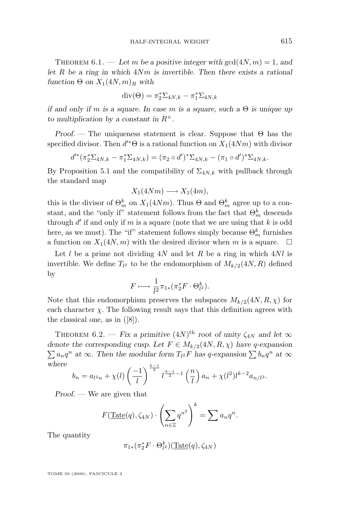THEOREM 6.1. — Let m be a positive integer with  $gcd(4N, m) = 1$ , and *let* R *be a ring in which* 4Nm *is invertible. Then there exists a rational*  $function \Theta$  *on*  $X_1(4N, m)_R$  *with* 

$$
\operatorname{div}(\Theta) = \pi_2^* \Sigma_{4N,k} - \pi_1^* \Sigma_{4N,k}
$$

*if and only if* m *is a square. In case* m *is a square, such a* Θ *is unique up to multiplication by a constant in* R×*.*

*Proof. —* The uniqueness statement is clear. Suppose that Θ has the specified divisor. Then  $d^* \Theta$  is a rational function on  $X_1(4Nm)$  with divisor

$$
d'^*(\pi_2^*\Sigma_{4N,k}-\pi_1^*\Sigma_{4N,k})=(\pi_2\circ d')^*\Sigma_{4N,k}-(\pi_1\circ d')^*\Sigma_{4N,k}.
$$

By Proposition [5.1](#page-12-0) and the compatibility of  $\Sigma_{4N,k}$  with pullback through the standard map

$$
X_1(4Nm) \longrightarrow X_1(4m),
$$

this is the divisor of  $\Theta_m^k$  on  $X_1(4Nm)$ . Thus  $\Theta$  and  $\Theta_m^k$  agree up to a constant, and the "only if" statement follows from the fact that  $\Theta_m^k$  descends through  $d'$  if and only if m is a square (note that we are using that k is odd here, as we must). The "if" statement follows simply because  $\Theta_m^k$  furnishes a function on  $X_1(4N, m)$  with the desired divisor when m is a square.  $\Box$ 

Let l be a prime not dividing  $4N$  and let R be a ring in which  $4Nl$  is invertible. We define  $T_{l^2}$  to be the endomorphism of  $M_{k/2}(4N, R)$  defined by

$$
F \longmapsto \frac{1}{l^2} \pi_{1*} (\pi_2^* F \cdot \Theta_{l^2}^k).
$$

Note that this endomorphism preserves the subspaces  $M_{k/2}(4N, R, \chi)$  for each character  $\chi$ . The following result says that this definition agrees with the classical one, as in ([\[8\]](#page-26-0)).

THEOREM 6.2. — *Fix a primitive*  $(4N)$ <sup>th</sup> *root of unity*  $\zeta_{4N}$  *and let*  $\infty$ *denote the corresponding cusp. Let*  $F \in M_{k/2}(4N, R, \chi)$  *have q-expansion*  $\sum a_n q^n$  at  $\infty$ . Then the modular form  $T_{l^2}F$  has q-expansion  $\sum b_n q^n$  at  $\infty$ *where*

$$
b_n = a_{l^2n} + \chi(l) \left(\frac{-1}{l}\right)^{\frac{k-1}{2}} l^{\frac{k-1}{2}-1} \left(\frac{n}{l}\right) a_n + \chi(l^2) l^{k-2} a_{n/l^2}.
$$

*Proof. —* We are given that

$$
F(\underline{\mathrm{Tate}}(q), \zeta_{4N}) \cdot \left(\sum_{n \in \mathbb{Z}} q^{n^2}\right)^k = \sum a_n q^n.
$$

The quantity

$$
\pi_{1*}(\pi_2^* F \cdot \Theta_{l^2}^k)(\underline{\mathrm{Tate}}(q), \zeta_{4N})
$$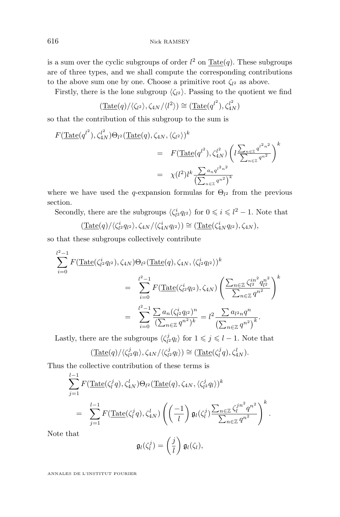is a sum over the cyclic subgroups of order  $l^2$  on  $\underline{\text{Tate}}(q)$ . These subgroups are of three types, and we shall compute the corresponding contributions to the above sum one by one. Choose a primitive root  $\zeta_{l^2}$  as above.

Firstly, there is the lone subgroup  $\langle \zeta_{l^2} \rangle$ . Passing to the quotient we find

$$
(\underline{\text{Tate}}(q)/\langle \zeta_{l^2} \rangle, \zeta_{4N}/\langle l^2 \rangle) \cong (\underline{\text{Tate}}(q^{l^2}), \zeta_{4N}^{l^2})
$$

so that the contribution of this subgroup to the sum is

$$
F(\text{Tate}(q^{l^2}), \zeta_{4N}^{l^2})\Theta_{l^2}(\text{Tate}(q), \zeta_{4N}, \langle \zeta_{l^2} \rangle)^k
$$
  
= 
$$
F(\text{Tate}(q^{l^2}), \zeta_{4N}^{l^2}) \left(l \frac{\sum_{n \in \mathbb{Z}} q^{l^2 n^2}}{\sum_{n \in \mathbb{Z}} q^{n^2}}\right)^k
$$
  
= 
$$
\chi(l^2)l^k \frac{\sum_{n \in \mathbb{Z}} q^{n^2 n^2}}{\left(\sum_{n \in \mathbb{Z}} q^{n^2}\right)^k}
$$

where we have used the q-expansion formulas for  $\Theta_{l^2}$  from the previous section.

Secondly, there are the subgroups  $\langle \zeta_{l^2}^i q_{l^2} \rangle$  for  $0 \leq i \leq l^2 - 1$ . Note that

$$
(\underline{\mathrm{Tate}}(q)/\langle \zeta_1^i q_{l^2} \rangle, \zeta_{4N}/\langle \zeta_{4N}^i q_{l^2} \rangle) \cong (\underline{\mathrm{Tate}}(\zeta_{4N}^i q_{l^2}), \zeta_{4N}),
$$

so that these subgroups collectively contribute

$$
\sum_{i=0}^{l^2-1} F(\underline{\text{Tate}}(\zeta_{l^2}^i q_{l^2}), \zeta_{4N}) \Theta_{l^2}(\underline{\text{Tate}}(q), \zeta_{4N}, \langle \zeta_{l^2}^i q_{l^2} \rangle)^k
$$
\n
$$
= \sum_{i=0}^{l^2-1} F(\underline{\text{Tate}}(\zeta_{l^2}^i q_{l^2}), \zeta_{4N}) \left( \frac{\sum_{n \in \mathbb{Z}} \zeta_{l^2}^{in^2} q_{l^2}^{n^2}}{\sum_{n \in \mathbb{Z}} q^{n^2}} \right)^k
$$
\n
$$
= \sum_{i=0}^{l^2-1} \frac{\sum_{n} a_n (\zeta_{l^2}^i q_{l^2})^n}{(\sum_{n \in \mathbb{Z}} q^{n^2})^k} = l^2 \frac{\sum_{n \in \mathbb{Z}} a_{l^2 n} q^n}{(\sum_{n \in \mathbb{Z}} q^{n^2})^k}.
$$

Lastly, there are the subgroups  $\langle \zeta_i^j \rangle$  $\langle i \rangle_{l^2} q_l \rangle$  for  $1 \leqslant j \leqslant l-1$ . Note that

$$
(\underline{\mathrm{Tate}}(q)/\langle \zeta_{l^2}^j q_l \rangle, \zeta_{4N}/\langle \zeta_{l^2}^j q_l \rangle) \cong (\underline{\mathrm{Tate}}(\zeta_l^j q), \zeta_{4N}^l).
$$

Thus the collective contribution of these terms is

$$
\sum_{j=1}^{l-1} F(\underline{\mathrm{Tate}}(\zeta_l^j q), \zeta_{4N}^l) \Theta_{l^2}(\underline{\mathrm{Tate}}(q), \zeta_{4N}, \langle \zeta_{l^2}^j q_l \rangle)^k
$$
\n
$$
= \sum_{j=1}^{l-1} F(\underline{\mathrm{Tate}}(\zeta_l^j q), \zeta_{4N}^l) \left( \left( \frac{-1}{l} \right) \mathfrak{g}_l(\zeta_l^j) \frac{\sum_{n \in \mathbb{Z}} \zeta_l^{jn^2} q^{n^2}}{\sum_{n \in \mathbb{Z}} q^{n^2}} \right)^k.
$$

Note that

l−1

$$
\mathfrak{g}_l(\zeta_l^j)=\left(\frac{j}{l}\right)\mathfrak{g}_l(\zeta_l),
$$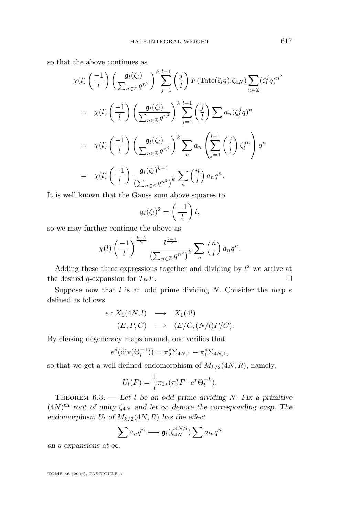so that the above continues as

$$
\chi(l) \left(\frac{-1}{l}\right) \left(\frac{\mathfrak{g}_l(\zeta_l)}{\sum_{n \in \mathbb{Z}} q^{n^2}}\right)^k \sum_{j=1}^{l-1} \left(\frac{j}{l}\right) F(\underline{\text{Tate}}(\zeta_l q). \zeta_{4N}) \sum_{n \in \mathbb{Z}} (\zeta_l^j q)^{n^2}
$$
  
\n
$$
= \chi(l) \left(\frac{-1}{l}\right) \left(\frac{\mathfrak{g}_l(\zeta_l)}{\sum_{n \in \mathbb{Z}} q^{n^2}}\right)^k \sum_{j=1}^{l-1} \left(\frac{j}{l}\right) \sum a_n (\zeta_l^j q)^n
$$
  
\n
$$
= \chi(l) \left(\frac{-1}{l}\right) \left(\frac{\mathfrak{g}_l(\zeta_l)}{\sum_{n \in \mathbb{Z}} q^{n^2}}\right)^k \sum_n a_n \left(\sum_{j=1}^{l-1} \left(\frac{j}{l}\right) \zeta_l^{jn}\right) q^n
$$
  
\n
$$
= \chi(l) \left(\frac{-1}{l}\right) \frac{\mathfrak{g}_l(\zeta_l)^{k+1}}{\left(\sum_{n \in \mathbb{Z}} q^{n^2}\right)^k} \sum_n \left(\frac{n}{l}\right) a_n q^n.
$$

It is well known that the Gauss sum above squares to

$$
\mathfrak{g}_l(\zeta_l)^2=\left(\frac{-1}{l}\right)l,
$$

so we may further continue the above as

$$
\chi(l)\left(\frac{-1}{l}\right)^{\frac{k-1}{2}}\frac{l^{\frac{k+1}{2}}}{\left(\sum_{n\in\mathbb{Z}}q^{n^2}\right)^k}\sum_{n}\left(\frac{n}{l}\right)a_nq^n.
$$

Adding these three expressions together and dividing by  $l^2$  we arrive at the desired q-expansion for  $T_{12}F$ .  $2F$ .

Suppose now that  $l$  is an odd prime dividing  $N$ . Consider the map  $e$ defined as follows.

$$
\begin{array}{rcl}\ne: X_1(4N, l) & \longrightarrow & X_1(4l) \\
(E, P, C) & \longmapsto & (E/C, (N/l)P/C).\n\end{array}
$$

By chasing degeneracy maps around, one verifies that

$$
e^*(\text{div}(\Theta_l^{-1})) = \pi_2^* \Sigma_{4N,1} - \pi_1^* \Sigma_{4N,1},
$$

so that we get a well-defined endomorphism of  $M_{k/2}(4N, R)$ , namely,

$$
U_l(F) = \frac{1}{l} \pi_{1*}(\pi_2^* F \cdot e^* \Theta_l^{-k}).
$$

Theorem 6.3. — *Let* l *be an odd prime dividing* N*. Fix a primitive*  $(4N)^{\text{th}}$  *root of unity*  $\zeta_{4N}$  *and let*  $\infty$  *denote the corresponding cusp. The* endomorphism  $U_l$  of  $M_{k/2}(4N, R)$  has the effect

$$
\sum a_n q^n \longmapsto \mathfrak{g}_l(\zeta_{4N}^{4N/l}) \sum a_{ln} q^n
$$

*on* q*-expansions at* ∞*.*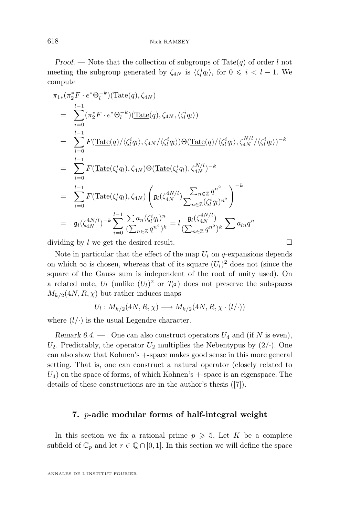<span id="page-20-0"></span>*Proof.* — Note that the collection of subgroups of  $\text{Tate}(q)$  of order l not meeting the subgroup generated by  $\zeta_{4N}$  is  $\langle \zeta_i^i q_l \rangle$ , for  $0 \leq i \leq l-1$ . We compute

$$
\pi_{1*}(\pi_2^* F \cdot e^* \Theta_l^{-k})(\underline{\text{Tate}}(q), \zeta_{4N})
$$
\n
$$
= \sum_{i=0}^{l-1} (\pi_2^* F \cdot e^* \Theta_l^{-k})(\underline{\text{Tate}}(q), \zeta_{4N}, \langle \zeta_l^i q_l \rangle)
$$
\n
$$
= \sum_{i=0}^{l-1} F(\underline{\text{Tate}}(q)/\langle \zeta_l^i q_l \rangle, \zeta_{4N}/\langle \zeta_l^i q_l \rangle) \Theta(\underline{\text{Tate}}(q)/\langle \zeta_l^i q_l \rangle, \zeta_{4N}^{N/l}/\langle \zeta_l^i q_l \rangle)^{-k}
$$
\n
$$
= \sum_{i=0}^{l-1} F(\underline{\text{Tate}}(\zeta_l^i q_l), \zeta_{4N}) \Theta(\underline{\text{Tate}}(\zeta_l^i q_l), \zeta_{4N}^{N/l})^{-k}
$$
\n
$$
= \sum_{i=0}^{l-1} F(\underline{\text{Tate}}(\zeta_l^i q_l), \zeta_{4N}) \left(\mathfrak{g}_l(\zeta_{4N}^{4N/l}) \frac{\sum_{n \in \mathbb{Z}} q^{n^2}}{\sum_{n \in \mathbb{Z}} (\zeta_l^i q_l)^{n^2}}\right)^{-k}
$$
\n
$$
= \mathfrak{g}_l(\zeta_{4N}^{4N/l})^{-k} \sum_{i=0}^{l-1} \frac{\sum_{n \in \mathbb{Z}} a_n (\zeta_l^i q_l)^n}{(\sum_{n \in \mathbb{Z}} q^{n^2})^k} = l \frac{\mathfrak{g}_l(\zeta_{4N}^{4N/l})}{(\sum_{n \in \mathbb{Z}} q^{n^2})^k} \sum_{n \in \mathbb{Z}} a_{ln} q^n
$$

dividing by l we get the desired result.  $\Box$ 

Note in particular that the effect of the map  $U_l$  on q-expansions depends on which  $\infty$  is chosen, whereas that of its square  $(U_l)^2$  does not (since the square of the Gauss sum is independent of the root of unity used). On a related note,  $U_l$  (unlike  $(U_l)^2$  or  $T_{l^2}$ ) does not preserve the subspaces  $M_{k/2}(4N, R, \chi)$  but rather induces maps

 $U_l: M_{k/2}(4N, R, \chi) \longrightarrow M_{k/2}(4N, R, \chi \cdot (l/\cdot))$ 

where  $(l/\cdot)$  is the usual Legendre character.

*Remark 6.4.* — One can also construct operators  $U_4$  and (if N is even),  $U_2$ . Predictably, the operator  $U_2$  multiplies the Nebentypus by  $(2/-)$ . One can also show that Kohnen's +-space makes good sense in this more general setting. That is, one can construct a natural operator (closely related to  $U_4$ ) on the space of forms, of which Kohnen's  $+$ -space is an eigenspace. The details of these constructions are in the author's thesis ([\[7\]](#page-26-0)).

#### **7.** p**-adic modular forms of half-integral weight**

In this section we fix a rational prime  $p \geq 5$ . Let K be a complete subfield of  $\mathbb{C}_p$  and let  $r \in \mathbb{Q} \cap [0,1]$ . In this section we will define the space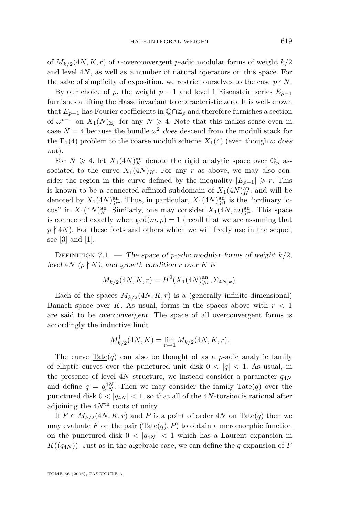of  $M_{k/2}(4N, K, r)$  of r-overconvergent p-adic modular forms of weight  $k/2$ and level 4N, as well as a number of natural operators on this space. For the sake of simplicity of exposition, we restrict ourselves to the case  $p \nmid N$ .

By our choice of p, the weight  $p-1$  and level 1 Eisenstein series  $E_{p-1}$ furnishes a lifting the Hasse invariant to characteristic zero. It is well-known that  $E_{p-1}$  has Fourier coefficients in  $\mathbb{Q} \cap \mathbb{Z}_p$  and therefore furnishes a section of  $\omega^{p-1}$  on  $X_1(N)_{\mathbb{Z}_p}$  for any  $N \geq 4$ . Note that this makes sense even in case  $N = 4$  because the bundle  $\omega^2$  does descend from the moduli stack for the  $\Gamma_1(4)$  problem to the coarse moduli scheme  $X_1(4)$  (even though  $\omega$  does *not*).

For  $N \geq 4$ , let  $X_1(4N)^{\text{an}}_K$  denote the rigid analytic space over  $\mathbb{Q}_p$  associated to the curve  $X_1(4N)_K$ . For any r as above, we may also consider the region in this curve defined by the inequality  $|E_{p-1}| \geq r$ . This is known to be a connected affinoid subdomain of  $X_1(4N)_K^{\text{an}}$ , and will be denoted by  $X_1(4N)_{\geq 1}^{\text{an}}$ . Thus, in particular,  $X_1(4N)_{\geq 1}^{\text{an}}$  is the "ordinary locus" in  $X_1(4N)_{K}^{\text{an}}$ . Similarly, one may consider  $X_1(4N,m)_{\geq r}^{\text{an}}$ . This space is connected exactly when  $gcd(m, p) = 1$  (recall that we are assuming that  $p \nmid 4N$ ). For these facts and others which we will freely use in the sequel, see [\[3\]](#page-25-0) and [\[1\]](#page-25-0).

Definition 7.1. — *The space of* p*-adic modular forms of weight* k/2*, level*  $4N$  *(p*  $\nmid N$ *), and growth condition r over* K is

$$
M_{k/2}(4N, K, r) = H^{0}(X_1(4N)_{\geq r}^{\text{an}}, \Sigma_{4N, k}).
$$

Each of the spaces  $M_{k/2}(4N, K, r)$  is a (generally infinite-dimensional) Banach space over K. As usual, forms in the spaces above with  $r < 1$ are said to be *overconvergent*. The space of all overconvergent forms is accordingly the inductive limit

$$
M_{k/2}^{\dagger}(4N, K) = \lim_{r \to 1} M_{k/2}(4N, K, r).
$$

The curve  $\text{Tate}(q)$  can also be thought of as a p-adic analytic family of elliptic curves over the punctured unit disk  $0 < |q| < 1$ . As usual, in the presence of level 4N structure, we instead consider a parameter  $q_{4N}$ and define  $q = q_{4N}^{4N}$ . Then we may consider the family  $\underline{\text{ Tate}}(q)$  over the punctured disk  $0 < |q_{4N}| < 1$ , so that all of the 4N-torsion is rational after adjoining the  $4N<sup>th</sup>$  roots of unity.

If  $F \in M_{k/2}(4N, K, r)$  and P is a point of order 4N on  $\text{Tate}(q)$  then we may evaluate F on the pair  $(\underline{\text{Tate}}(q), P)$  to obtain a meromorphic function on the punctured disk  $0 < |q_{4N}| < 1$  which has a Laurent expansion in  $K((q_{4N}))$ . Just as in the algebraic case, we can define the q-expansion of F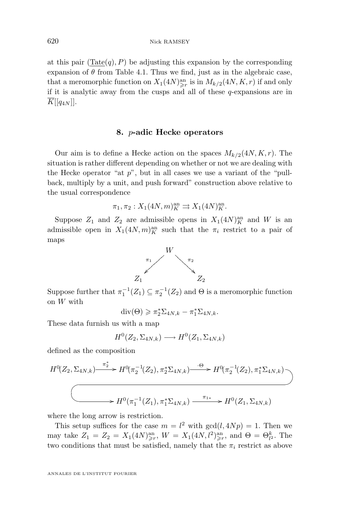at this pair  $(\text{Tate}(q), P)$  be adjusting this expansion by the corresponding expansion of  $\theta$  from Table [4.1.](#page-10-0) Thus we find, just as in the algebraic case, that a meromorphic function on  $X_1(4N)_{\geq r}^{\text{an}}$  is in  $M_{k/2}(4N, K, r)$  if and only if it is analytic away from the cusps and all of these  $q$ -expansions are in  $K[[q_{4N}]]$ .

#### **8.** p**-adic Hecke operators**

Our aim is to define a Hecke action on the spaces  $M_{k/2}(4N, K, r)$ . The situation is rather different depending on whether or not we are dealing with the Hecke operator "at  $p$ ", but in all cases we use a variant of the "pullback, multiply by a unit, and push forward" construction above relative to the usual correspondence

$$
\pi_1, \pi_2: X_1(4N, m)_K^{\text{an}} \rightrightarrows X_1(4N)_K^{\text{an}}.
$$

Suppose  $Z_1$  and  $Z_2$  are admissible opens in  $X_1(4N)_{\kappa}^{\text{an}}$  and W is an admissible open in  $X_1(4N,m)_K^{\text{an}}$  such that the  $\pi_i$  restrict to a pair of maps



Suppose further that  $\pi_1^{-1}(Z_1) \subseteq \pi_2^{-1}(Z_2)$  and  $\Theta$  is a meromorphic function on W with

$$
\mathrm{div}(\Theta) \geqslant \pi_2^* \Sigma_{4N,k} - \pi_1^* \Sigma_{4N,k}.
$$

These data furnish us with a map

$$
H^0(Z_2, \Sigma_{4N,k}) \longrightarrow H^0(Z_1, \Sigma_{4N,k})
$$

defined as the composition

$$
H^{0}(Z_{2}, \Sigma_{4N,k}) \xrightarrow{\pi_{2}^{*}} H^{0}(\pi_{2}^{-1}(Z_{2}), \pi_{2}^{*}\Sigma_{4N,k}) \xrightarrow{\cdot \Theta} H^{0}(\pi_{2}^{-1}(Z_{2}), \pi_{1}^{*}\Sigma_{4N,k})
$$
  

$$
\longrightarrow H^{0}(\pi_{1}^{-1}(Z_{1}), \pi_{1}^{*}\Sigma_{4N,k}) \xrightarrow{\pi_{1*}} H^{0}(Z_{1}, \Sigma_{4N,k})
$$

where the long arrow is restriction.

This setup suffices for the case  $m = l^2$  with  $gcd(l, 4Np) = 1$ . Then we may take  $Z_1 = Z_2 = X_1(4N)_{\geq r}^{\text{an}}, W = X_1(4N, l^2)_{\geq r}^{\text{an}}, \text{ and } \Theta = \Theta_{l^2}^k$ . The two conditions that must be satisfied, namely that the  $\pi_i$  restrict as above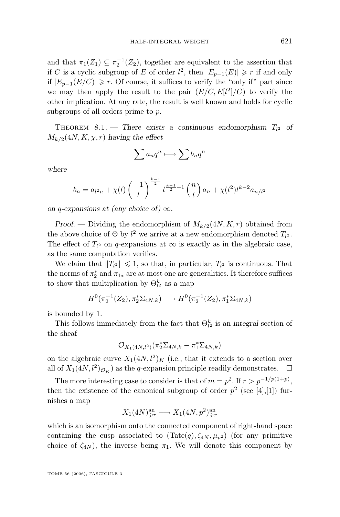and that  $\pi_1(Z_1) \subseteq \pi_2^{-1}(Z_2)$ , together are equivalent to the assertion that if C is a cyclic subgroup of E of order  $l^2$ , then  $|E_{p-1}(E)| \geq r$  if and only if  $|E_{p-1}(E/C)|$  ≥ r. Of course, it suffices to verify the "only if" part since we may then apply the result to the pair  $(E/C, E[l^2]/C)$  to verify the other implication. At any rate, the result is well known and holds for cyclic subgroups of all orders prime to p.

THEOREM 8.1. – There exists a continuous endomorphism  $T_{12}$  of  $M_{k/2}(4N, K, \chi, r)$  *having the effect* 

$$
\sum a_n q^n \longmapsto \sum b_n q^n
$$

*where*

$$
b_n = a_{l^2n} + \chi(l) \left(\frac{-1}{l}\right)^{\frac{k-1}{2}} l^{\frac{k-1}{2}-1} \left(\frac{n}{l}\right) a_n + \chi(l^2) l^{k-2} a_{n/l^2}
$$

*on* q-expansions at (any choice of)  $\infty$ *.* 

*Proof.* — Dividing the endomorphism of  $M_{k/2}(4N, K, r)$  obtained from the above choice of  $\Theta$  by  $l^2$  we arrive at a new endomorphism denoted  $T_{l^2}$ . The effect of  $T_{l^2}$  on q-expansions at  $\infty$  is exactly as in the algebraic case, as the same computation verifies.

We claim that  $||T_{l^2}|| \leq 1$ , so that, in particular,  $T_{l^2}$  is continuous. That the norms of  $\pi_2^*$  and  $\pi_{1*}$  are at most one are generalities. It therefore suffices to show that multiplication by  $\Theta_{l^2}^k$  as a map

$$
H^0(\pi_2^{-1}(Z_2), \pi_2^*\Sigma_{4N,k}) \longrightarrow H^0(\pi_2^{-1}(Z_2), \pi_1^*\Sigma_{4N,k})
$$

is bounded by 1.

This follows immediately from the fact that  $\Theta_{l^2}^k$  is an *integral* section of the sheaf

$$
\mathcal{O}_{X_1(4N,l^2)}(\pi_2^*\Sigma_{4N,k}-\pi_1^*\Sigma_{4N,k})
$$

on the algebraic curve  $X_1(4N, l^2)_K$  (i.e., that it extends to a section over all of  $X_1(4N, l^2)_{\mathcal{O}_K}$  as the q-expansion principle readily demonstrates.  $\Box$ 

The more interesting case to consider is that of  $m = p^2$ . If  $r > p^{-1/p(1+p)}$ , then the existence of the canonical subgroup of order  $p^2$  (see [\[4\]](#page-26-0), [\[1\]](#page-25-0)) furnishes a map

$$
X_1(4N)_{\geqslant r}^{\rm an} \longrightarrow X_1(4N, p^2)_{\geqslant r}^{\rm an}
$$

which is an isomorphism onto the connected component of right-hand space containing the cusp associated to  $(\text{Tate}(q), \zeta_{4N}, \mu_{p^2})$  (for any primitive choice of  $\zeta_{4N}$ , the inverse being  $\pi_1$ . We will denote this component by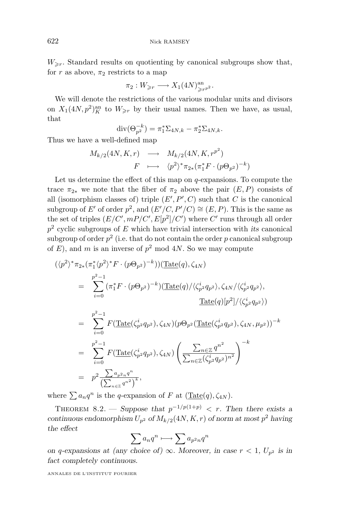$W_{\geq r}$ . Standard results on quotienting by canonical subgroups show that, for r as above,  $\pi_2$  restricts to a map

$$
\pi_2: W_{\geqslant r} \longrightarrow X_1(4N)_{\geqslant r^{p^2}}^{\rm an}.
$$

We will denote the restrictions of the various modular units and divisors on  $X_1(4N, p^2)^{\text{an}}_K$  to  $W_{\geq r}$  by their usual names. Then we have, as usual, that

$$
\mathrm{div}(\Theta_{p^2}^{-k}) = \pi_1^* \Sigma_{4N,k} - \pi_2^* \Sigma_{4N,k}.
$$

Thus we have a well-defined map

$$
M_{k/2}(4N, K, r) \longrightarrow M_{k/2}(4N, K, r^{p^2})
$$
  

$$
F \longmapsto \langle p^2 \rangle^* \pi_{2*}(\pi_1^* F \cdot (p \Theta_{p^2})^{-k})
$$

Let us determine the effect of this map on q-expansions. To compute the trace  $\pi_{2*}$  we note that the fiber of  $\pi_2$  above the pair  $(E, P)$  consists of all (isomorphism classes of) triple  $(E', P', C)$  such that C is the canonical subgroup of E' of order  $p^2$ , and  $(E'/C, P'/C) \cong (E, P)$ . This is the same as the set of triples  $(E/C', mP/C', E[p^2]/C')$  where  $C'$  runs through all order p 2 cyclic subgroups of E which have trivial intersection with *its* canonical subgroup of order  $p^2$  (i.e. that do not contain the order  $p$  canonical subgroup of  $E$ ), and m is an inverse of  $p^2$  mod  $4N$ . So we may compute

$$
(\langle p^{2}\rangle^{*}\pi_{2*}(\pi_{1}^{*}\langle p^{2}\rangle^{*}F\cdot(p\Theta_{p^{2}})^{-k}))(\underline{\text{Tate}}(q),\zeta_{4N})
$$
\n
$$
= \sum_{i=0}^{p^{2}-1} (\pi_{1}^{*}F\cdot(p\Theta_{p^{2}})^{-k})(\underline{\text{Tate}}(q)/\langle\zeta_{p}^{i}q_{p^{2}}\rangle,\zeta_{4N}/\langle\zeta_{p}^{i}q_{p^{2}}\rangle, \underline{\text{Tate}}(q)[p^{2}]/\langle\zeta_{p}^{i}q_{p^{2}}\rangle)
$$
\n
$$
= \sum_{i=0}^{p^{2}-1} F(\underline{\text{Tate}}(\zeta_{p}^{i}q_{p^{2}}),\zeta_{4N})(p\Theta_{p^{2}}(\underline{\text{Tate}}(\zeta_{p}^{i}q_{p^{2}}),\zeta_{4N},\mu_{p^{2}}))^{-k}
$$
\n
$$
= \sum_{i=0}^{p^{2}-1} F(\underline{\text{Tate}}(\zeta_{p}^{i}q_{p^{2}}),\zeta_{4N})\left(\frac{\sum_{n\in\mathbb{Z}}q^{n^{2}}}{\sum_{n\in\mathbb{Z}}(\zeta_{p}^{i}q_{p^{2}})^{n^{2}}}\right)^{-k}
$$
\n
$$
= p^{2}\frac{\sum_{n\in\mathbb{Z}}a_{n^{2}n}q^{n}}{(\sum_{n\in\mathbb{Z}}q^{n^{2}})^{k}},
$$

where  $\sum a_n q^n$  is the q-expansion of F at  $(\underline{\text{Tate}}(q), \zeta_{4N}).$ 

THEOREM 8.2. — Suppose that  $p^{-1/p(1+p)} < r$ . Then there exists a *continuous endomorphism*  $U_{p^2}$  *of*  $M_{k/2}(4N, K, r)$  *of norm at most*  $p^2$  *having the effect*

$$
\sum a_n q^n \longmapsto \sum a_{p^2n} q^n
$$

*on* q-expansions at (any choice of)  $\infty$ *. Moreover, in case*  $r < 1$ *, U<sub>p</sub> is in fact completely continuous.*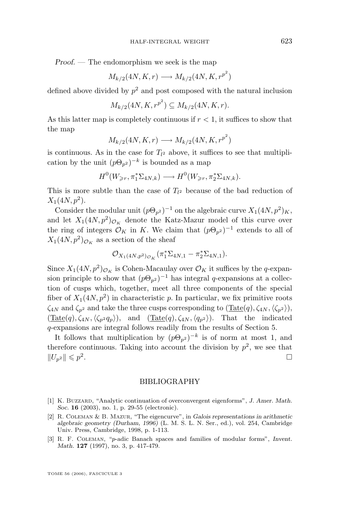<span id="page-25-0"></span>*Proof. —* The endomorphism we seek is the map

$$
M_{k/2}(4N, K, r) \longrightarrow M_{k/2}(4N, K, r^{p^2})
$$

defined above divided by  $p^2$  and post composed with the natural inclusion

$$
M_{k/2}(4N, K, r^{p^2}) \subseteq M_{k/2}(4N, K, r).
$$

As this latter map is completely continuous if  $r < 1$ , it suffices to show that the map

$$
M_{k/2}(4N, K, r) \longrightarrow M_{k/2}(4N, K, r^{p^2})
$$

is continuous. As in the case for  $T_{l^2}$  above, it suffices to see that multiplication by the unit  $(p\Theta_{p^2})^{-k}$  is bounded as a map

$$
H^0(W_{\geq r}, \pi_1^* \Sigma_{4N,k}) \longrightarrow H^0(W_{\geq r}, \pi_2^* \Sigma_{4N,k}).
$$

This is more subtle than the case of  $T_{l^2}$  because of the bad reduction of  $X_1(4N, p^2)$ .

Consider the modular unit  $(p\Theta_{p^2})^{-1}$  on the algebraic curve  $X_1(4N, p^2)_K$ , and let  $X_1(4N, p^2)_{\mathcal{O}_K}$  denote the Katz-Mazur model of this curve over the ring of integers  $\mathcal{O}_K$  in K. We claim that  $(p\Theta_{p^2})^{-1}$  extends to all of  $X_1(4N, p^2)_{\mathcal{O}_K}$  as a section of the sheaf

$$
\mathcal{O}_{X_1(4N,p^2)\mathcal{O}_K}(\pi_1^*\Sigma_{4N,1}-\pi_2^*\Sigma_{4N,1}).
$$

Since  $X_1(4N, p^2)_{\mathcal{O}_K}$  is Cohen-Macaulay over  $\mathcal{O}_K$  it suffices by the q-expansion principle to show that  $(p\Theta_{p^2})^{-1}$  has integral q-expansions at a collection of cusps which, together, meet all three components of the special fiber of  $X_1(4N, p^2)$  in characteristic p. In particular, we fix primitive roots  $\zeta_{4N}$  and  $\zeta_{p^2}$  and take the three cusps corresponding to  $(\text{Tate}(q),\zeta_{4N},\langle\zeta_{p^2}\rangle),$  $(\text{Tate}(q), \zeta_{4N}, \langle \zeta_{p^2} q_p \rangle)$ , and  $(\text{Tate}(q), \zeta_{4N}, \langle q_{p^2} \rangle)$ . That the indicated q-expansions are integral follows readily from the results of Section [5.](#page-12-0)

It follows that multiplication by  $(p\Theta_{p^2})^{-k}$  is of norm at most 1, and therefore continuous. Taking into account the division by  $p^2$ , we see that  $||U_{p^2}|| \leqslant p^2$ .

#### BIBLIOGRAPHY

- [1] K. Buzzard, "Analytic continuation of overconvergent eigenforms", *J. Amer. Math. Soc.* **16** (2003), no. 1, p. 29-55 (electronic).
- [2] R. Coleman & B. Mazur, "The eigencurve", in *Galois representations in arithmetic algebraic geometry (Durham, 1996)* (L. M. S. L. N. Ser., ed.), vol. 254, Cambridge Univ. Press, Cambridge, 1998, p. 1-113.
- [3] R. F. Coleman, "p-adic Banach spaces and families of modular forms", *Invent. Math.* **127** (1997), no. 3, p. 417-479.